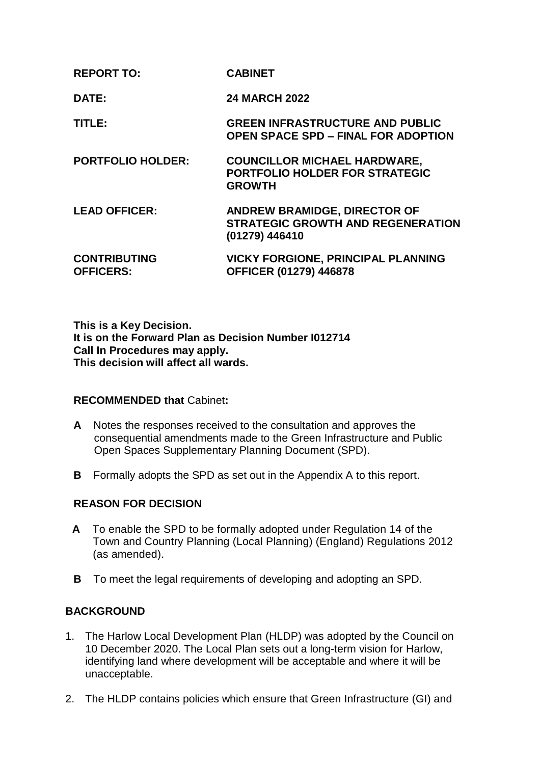| DATE:                                   | <b>24 MARCH 2022</b>                                                                          |
|-----------------------------------------|-----------------------------------------------------------------------------------------------|
| TITLE:                                  | <b>GREEN INFRASTRUCTURE AND PUBLIC</b><br><b>OPEN SPACE SPD - FINAL FOR ADOPTION</b>          |
| <b>PORTFOLIO HOLDER:</b>                | <b>COUNCILLOR MICHAEL HARDWARE,</b><br><b>PORTFOLIO HOLDER FOR STRATEGIC</b><br><b>GROWTH</b> |
| <b>LEAD OFFICER:</b>                    | ANDREW BRAMIDGE, DIRECTOR OF<br><b>STRATEGIC GROWTH AND REGENERATION</b><br>(01279) 446410    |
| <b>CONTRIBUTING</b><br><b>OFFICERS:</b> | <b>VICKY FORGIONE, PRINCIPAL PLANNING</b><br><b>OFFICER (01279) 446878</b>                    |

**This is a Key Decision. It is on the Forward Plan as Decision Number I012714 Call In Procedures may apply. This decision will affect all wards.**

# **RECOMMENDED that** Cabinet**:**

**REPORT TO: CABINET**

- **A** Notes the responses received to the consultation and approves the consequential amendments made to the Green Infrastructure and Public Open Spaces Supplementary Planning Document (SPD).
- **B** Formally adopts the SPD as set out in the Appendix A to this report.

# **REASON FOR DECISION**

- **A** To enable the SPD to be formally adopted under Regulation 14 of the Town and Country Planning (Local Planning) (England) Regulations 2012 (as amended).
- **B** To meet the legal requirements of developing and adopting an SPD.

# **BACKGROUND**

- 1. The Harlow Local Development Plan (HLDP) was adopted by the Council on 10 December 2020. The Local Plan sets out a long-term vision for Harlow, identifying land where development will be acceptable and where it will be unacceptable.
- 2. The HLDP contains policies which ensure that Green Infrastructure (GI) and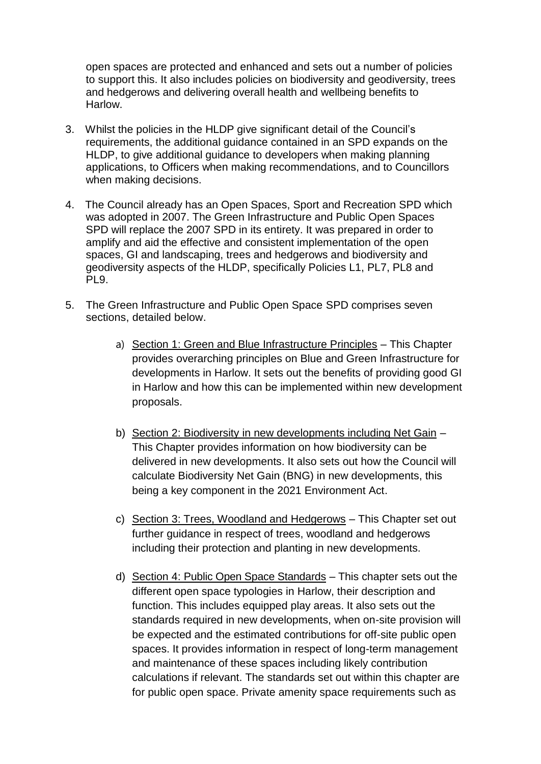open spaces are protected and enhanced and sets out a number of policies to support this. It also includes policies on biodiversity and geodiversity, trees and hedgerows and delivering overall health and wellbeing benefits to Harlow.

- 3. Whilst the policies in the HLDP give significant detail of the Council's requirements, the additional guidance contained in an SPD expands on the HLDP, to give additional guidance to developers when making planning applications, to Officers when making recommendations, and to Councillors when making decisions.
- 4. The Council already has an Open Spaces, Sport and Recreation SPD which was adopted in 2007. The Green Infrastructure and Public Open Spaces SPD will replace the 2007 SPD in its entirety. It was prepared in order to amplify and aid the effective and consistent implementation of the open spaces, GI and landscaping, trees and hedgerows and biodiversity and geodiversity aspects of the HLDP, specifically Policies L1, PL7, PL8 and PL9.
- 5. The Green Infrastructure and Public Open Space SPD comprises seven sections, detailed below.
	- a) Section 1: Green and Blue Infrastructure Principles This Chapter provides overarching principles on Blue and Green Infrastructure for developments in Harlow. It sets out the benefits of providing good GI in Harlow and how this can be implemented within new development proposals.
	- b) Section 2: Biodiversity in new developments including Net Gain This Chapter provides information on how biodiversity can be delivered in new developments. It also sets out how the Council will calculate Biodiversity Net Gain (BNG) in new developments, this being a key component in the 2021 Environment Act.
	- c) Section 3: Trees, Woodland and Hedgerows This Chapter set out further guidance in respect of trees, woodland and hedgerows including their protection and planting in new developments.
	- d) Section 4: Public Open Space Standards This chapter sets out the different open space typologies in Harlow, their description and function. This includes equipped play areas. It also sets out the standards required in new developments, when on-site provision will be expected and the estimated contributions for off-site public open spaces. It provides information in respect of long-term management and maintenance of these spaces including likely contribution calculations if relevant. The standards set out within this chapter are for public open space. Private amenity space requirements such as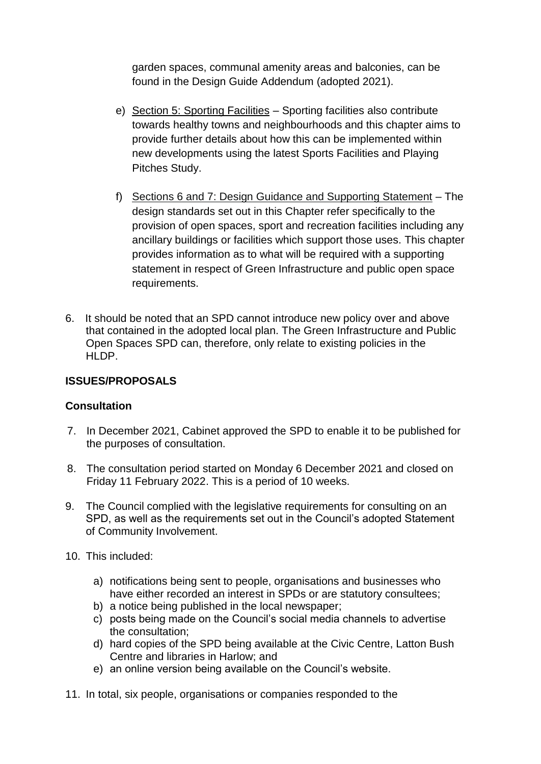garden spaces, communal amenity areas and balconies, can be found in the Design Guide Addendum (adopted 2021).

- e) Section 5: Sporting Facilities Sporting facilities also contribute towards healthy towns and neighbourhoods and this chapter aims to provide further details about how this can be implemented within new developments using the latest Sports Facilities and Playing Pitches Study.
- f) Sections 6 and 7: Design Guidance and Supporting Statement The design standards set out in this Chapter refer specifically to the provision of open spaces, sport and recreation facilities including any ancillary buildings or facilities which support those uses. This chapter provides information as to what will be required with a supporting statement in respect of Green Infrastructure and public open space requirements.
- 6. It should be noted that an SPD cannot introduce new policy over and above that contained in the adopted local plan. The Green Infrastructure and Public Open Spaces SPD can, therefore, only relate to existing policies in the HLDP.

# **ISSUES/PROPOSALS**

# **Consultation**

- 7. In December 2021, Cabinet approved the SPD to enable it to be published for the purposes of consultation.
- 8. The consultation period started on Monday 6 December 2021 and closed on Friday 11 February 2022. This is a period of 10 weeks.
- 9. The Council complied with the legislative requirements for consulting on an SPD, as well as the requirements set out in the Council's adopted Statement of Community Involvement.
- 10. This included:
	- a) notifications being sent to people, organisations and businesses who have either recorded an interest in SPDs or are statutory consultees;
	- b) a notice being published in the local newspaper;
	- c) posts being made on the Council's social media channels to advertise the consultation;
	- d) hard copies of the SPD being available at the Civic Centre, Latton Bush Centre and libraries in Harlow; and
	- e) an online version being available on the Council's website.
- 11. In total, six people, organisations or companies responded to the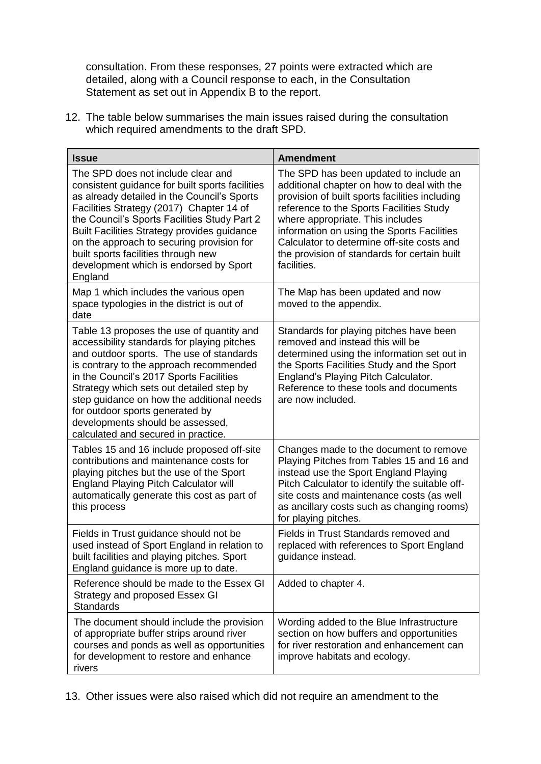consultation. From these responses, 27 points were extracted which are detailed, along with a Council response to each, in the Consultation Statement as set out in Appendix B to the report.

12. The table below summarises the main issues raised during the consultation which required amendments to the draft SPD.

| <b>Issue</b>                                                                                                                                                                                                                                                                                                                                                                                                                      | <b>Amendment</b>                                                                                                                                                                                                                                                                                                                                                                  |
|-----------------------------------------------------------------------------------------------------------------------------------------------------------------------------------------------------------------------------------------------------------------------------------------------------------------------------------------------------------------------------------------------------------------------------------|-----------------------------------------------------------------------------------------------------------------------------------------------------------------------------------------------------------------------------------------------------------------------------------------------------------------------------------------------------------------------------------|
| The SPD does not include clear and<br>consistent guidance for built sports facilities<br>as already detailed in the Council's Sports<br>Facilities Strategy (2017) Chapter 14 of<br>the Council's Sports Facilities Study Part 2<br>Built Facilities Strategy provides guidance<br>on the approach to securing provision for<br>built sports facilities through new<br>development which is endorsed by Sport<br>England          | The SPD has been updated to include an<br>additional chapter on how to deal with the<br>provision of built sports facilities including<br>reference to the Sports Facilities Study<br>where appropriate. This includes<br>information on using the Sports Facilities<br>Calculator to determine off-site costs and<br>the provision of standards for certain built<br>facilities. |
| Map 1 which includes the various open<br>space typologies in the district is out of<br>date                                                                                                                                                                                                                                                                                                                                       | The Map has been updated and now<br>moved to the appendix.                                                                                                                                                                                                                                                                                                                        |
| Table 13 proposes the use of quantity and<br>accessibility standards for playing pitches<br>and outdoor sports. The use of standards<br>is contrary to the approach recommended<br>in the Council's 2017 Sports Facilities<br>Strategy which sets out detailed step by<br>step guidance on how the additional needs<br>for outdoor sports generated by<br>developments should be assessed,<br>calculated and secured in practice. | Standards for playing pitches have been<br>removed and instead this will be<br>determined using the information set out in<br>the Sports Facilities Study and the Sport<br>England's Playing Pitch Calculator.<br>Reference to these tools and documents<br>are now included.                                                                                                     |
| Tables 15 and 16 include proposed off-site<br>contributions and maintenance costs for<br>playing pitches but the use of the Sport<br><b>England Playing Pitch Calculator will</b><br>automatically generate this cost as part of<br>this process                                                                                                                                                                                  | Changes made to the document to remove<br>Playing Pitches from Tables 15 and 16 and<br>instead use the Sport England Playing<br>Pitch Calculator to identify the suitable off-<br>site costs and maintenance costs (as well<br>as ancillary costs such as changing rooms)<br>for playing pitches.                                                                                 |
| Fields in Trust guidance should not be<br>used instead of Sport England in relation to<br>built facilities and playing pitches. Sport<br>England guidance is more up to date.                                                                                                                                                                                                                                                     | Fields in Trust Standards removed and<br>replaced with references to Sport England<br>guidance instead.                                                                                                                                                                                                                                                                           |
| Reference should be made to the Essex GI<br>Strategy and proposed Essex GI<br><b>Standards</b>                                                                                                                                                                                                                                                                                                                                    | Added to chapter 4.                                                                                                                                                                                                                                                                                                                                                               |
| The document should include the provision<br>of appropriate buffer strips around river<br>courses and ponds as well as opportunities<br>for development to restore and enhance<br>rivers                                                                                                                                                                                                                                          | Wording added to the Blue Infrastructure<br>section on how buffers and opportunities<br>for river restoration and enhancement can<br>improve habitats and ecology.                                                                                                                                                                                                                |

13. Other issues were also raised which did not require an amendment to the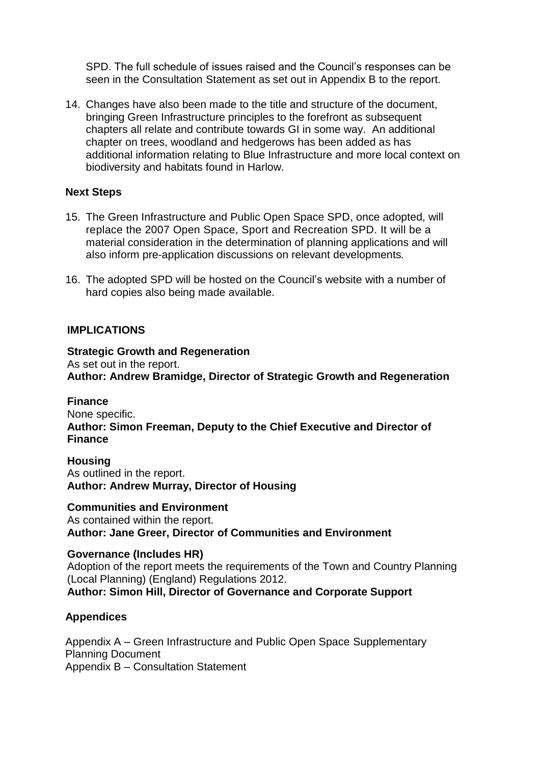SPD. The full schedule of issues raised and the Council's responses can be seen in the Consultation Statement as set out in Appendix B to the report.

14. Changes have also been made to the title and structure of the document, bringing Green Infrastructure principles to the forefront as subsequent chapters all relate and contribute towards GI in some way. An additional chapter on trees, woodland and hedgerows has been added as has additional information relating to Blue Infrastructure and more local context on biodiversity and habitats found in Harlow.

### **Next Steps**

- 15. The Green Infrastructure and Public Open Space SPD, once adopted, will replace the 2007 Open Space, Sport and Recreation SPD. It will be a material consideration in the determination of planning applications and will also inform pre-application discussions on relevant developments.
- 16. The adopted SPD will be hosted on the Council's website with a number of hard copies also being made available.

### **IMPLICATIONS**

**Strategic Growth and Regeneration** As set out in the report. **Author: Andrew Bramidge, Director of Strategic Growth and Regeneration**

**Finance** None specific. **Author: Simon Freeman, Deputy to the Chief Executive and Director of Finance**

**Housing** As outlined in the report. **Author: Andrew Murray, Director of Housing**

**Communities and Environment** As contained within the report. **Author: Jane Greer, Director of Communities and Environment**

#### **Governance (Includes HR)**

Adoption of the report meets the requirements of the Town and Country Planning (Local Planning) (England) Regulations 2012. **Author: Simon Hill, Director of Governance and Corporate Support**

#### **Appendices**

Appendix A – Green Infrastructure and Public Open Space Supplementary Planning Document Appendix B – Consultation Statement